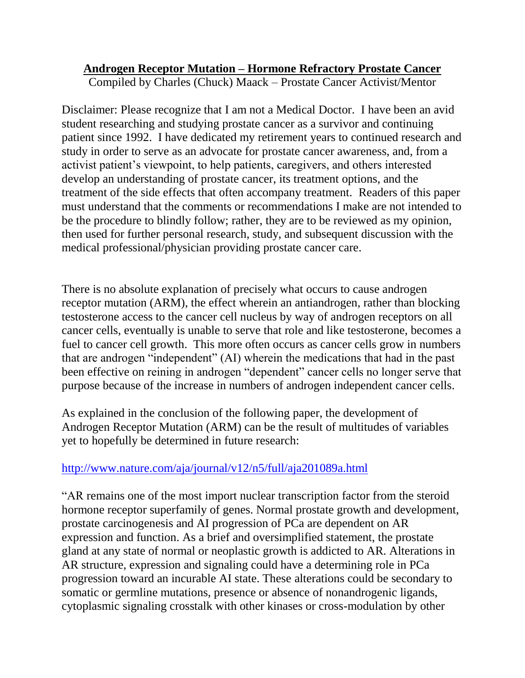## **Androgen Receptor Mutation – Hormone Refractory Prostate Cancer**

Compiled by Charles (Chuck) Maack – Prostate Cancer Activist/Mentor

Disclaimer: Please recognize that I am not a Medical Doctor. I have been an avid student researching and studying prostate cancer as a survivor and continuing patient since 1992. I have dedicated my retirement years to continued research and study in order to serve as an advocate for prostate cancer awareness, and, from a activist patient's viewpoint, to help patients, caregivers, and others interested develop an understanding of prostate cancer, its treatment options, and the treatment of the side effects that often accompany treatment. Readers of this paper must understand that the comments or recommendations I make are not intended to be the procedure to blindly follow; rather, they are to be reviewed as my opinion, then used for further personal research, study, and subsequent discussion with the medical professional/physician providing prostate cancer care.

There is no absolute explanation of precisely what occurs to cause androgen receptor mutation (ARM), the effect wherein an antiandrogen, rather than blocking testosterone access to the cancer cell nucleus by way of androgen receptors on all cancer cells, eventually is unable to serve that role and like testosterone, becomes a fuel to cancer cell growth. This more often occurs as cancer cells grow in numbers that are androgen "independent" (AI) wherein the medications that had in the past been effective on reining in androgen "dependent" cancer cells no longer serve that purpose because of the increase in numbers of androgen independent cancer cells.

As explained in the conclusion of the following paper, the development of Androgen Receptor Mutation (ARM) can be the result of multitudes of variables yet to hopefully be determined in future research:

## <http://www.nature.com/aja/journal/v12/n5/full/aja201089a.html>

"AR remains one of the most import nuclear transcription factor from the steroid hormone receptor superfamily of genes. Normal prostate growth and development, prostate carcinogenesis and AI progression of PCa are dependent on AR expression and function. As a brief and oversimplified statement, the prostate gland at any state of normal or neoplastic growth is addicted to AR. Alterations in AR structure, expression and signaling could have a determining role in PCa progression toward an incurable AI state. These alterations could be secondary to somatic or germline mutations, presence or absence of nonandrogenic ligands, cytoplasmic signaling crosstalk with other kinases or cross-modulation by other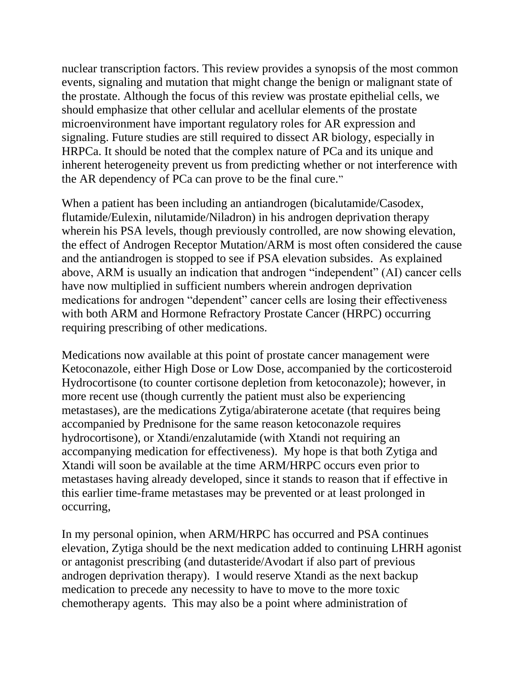nuclear transcription factors. This review provides a synopsis of the most common events, signaling and mutation that might change the benign or malignant state of the prostate. Although the focus of this review was prostate epithelial cells, we should emphasize that other cellular and acellular elements of the prostate microenvironment have important regulatory roles for AR expression and signaling. Future studies are still required to dissect AR biology, especially in HRPCa. It should be noted that the complex nature of PCa and its unique and inherent heterogeneity prevent us from predicting whether or not interference with the AR dependency of PCa can prove to be the final cure."

When a patient has been including an antiandrogen (bicalutamide/Casodex, flutamide/Eulexin, nilutamide/Niladron) in his androgen deprivation therapy wherein his PSA levels, though previously controlled, are now showing elevation, the effect of Androgen Receptor Mutation/ARM is most often considered the cause and the antiandrogen is stopped to see if PSA elevation subsides. As explained above, ARM is usually an indication that androgen "independent" (AI) cancer cells have now multiplied in sufficient numbers wherein androgen deprivation medications for androgen "dependent" cancer cells are losing their effectiveness with both ARM and Hormone Refractory Prostate Cancer (HRPC) occurring requiring prescribing of other medications.

Medications now available at this point of prostate cancer management were Ketoconazole, either High Dose or Low Dose, accompanied by the corticosteroid Hydrocortisone (to counter cortisone depletion from ketoconazole); however, in more recent use (though currently the patient must also be experiencing metastases), are the medications Zytiga/abiraterone acetate (that requires being accompanied by Prednisone for the same reason ketoconazole requires hydrocortisone), or Xtandi/enzalutamide (with Xtandi not requiring an accompanying medication for effectiveness). My hope is that both Zytiga and Xtandi will soon be available at the time ARM/HRPC occurs even prior to metastases having already developed, since it stands to reason that if effective in this earlier time-frame metastases may be prevented or at least prolonged in occurring,

In my personal opinion, when ARM/HRPC has occurred and PSA continues elevation, Zytiga should be the next medication added to continuing LHRH agonist or antagonist prescribing (and dutasteride/Avodart if also part of previous androgen deprivation therapy). I would reserve Xtandi as the next backup medication to precede any necessity to have to move to the more toxic chemotherapy agents. This may also be a point where administration of